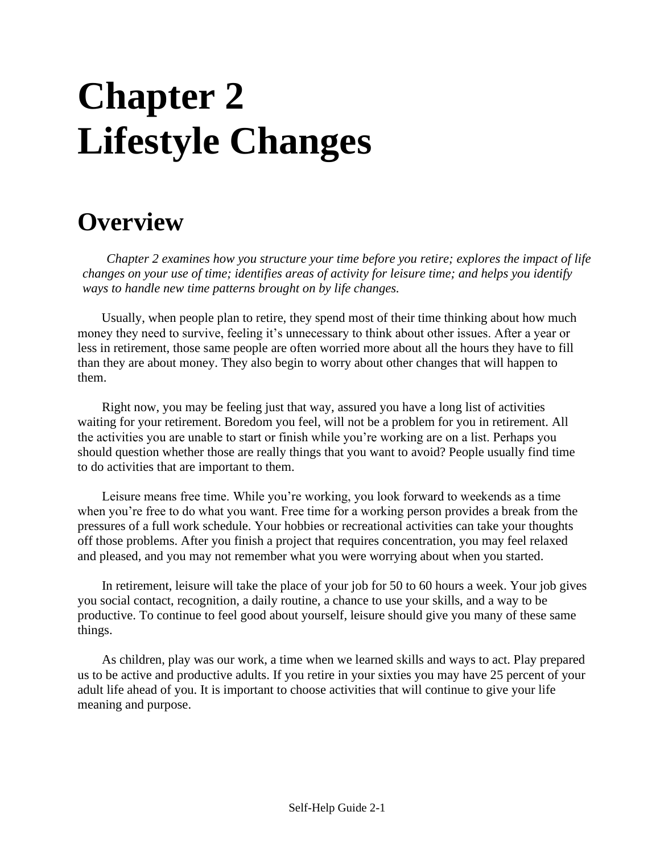# **Chapter 2 Lifestyle Changes**

## **Overview**

*Chapter 2 examines how you structure your time before you retire; explores the impact of life changes on your use of time; identifies areas of activity for leisure time; and helps you identify ways to handle new time patterns brought on by life changes.*

Usually, when people plan to retire, they spend most of their time thinking about how much money they need to survive, feeling it's unnecessary to think about other issues. After a year or less in retirement, those same people are often worried more about all the hours they have to fill than they are about money. They also begin to worry about other changes that will happen to them.

Right now, you may be feeling just that way, assured you have a long list of activities waiting for your retirement. Boredom you feel, will not be a problem for you in retirement. All the activities you are unable to start or finish while you're working are on a list. Perhaps you should question whether those are really things that you want to avoid? People usually find time to do activities that are important to them.

Leisure means free time. While you're working, you look forward to weekends as a time when you're free to do what you want. Free time for a working person provides a break from the pressures of a full work schedule. Your hobbies or recreational activities can take your thoughts off those problems. After you finish a project that requires concentration, you may feel relaxed and pleased, and you may not remember what you were worrying about when you started.

In retirement, leisure will take the place of your job for 50 to 60 hours a week. Your job gives you social contact, recognition, a daily routine, a chance to use your skills, and a way to be productive. To continue to feel good about yourself, leisure should give you many of these same things.

As children, play was our work, a time when we learned skills and ways to act. Play prepared us to be active and productive adults. If you retire in your sixties you may have 25 percent of your adult life ahead of you. It is important to choose activities that will continue to give your life meaning and purpose.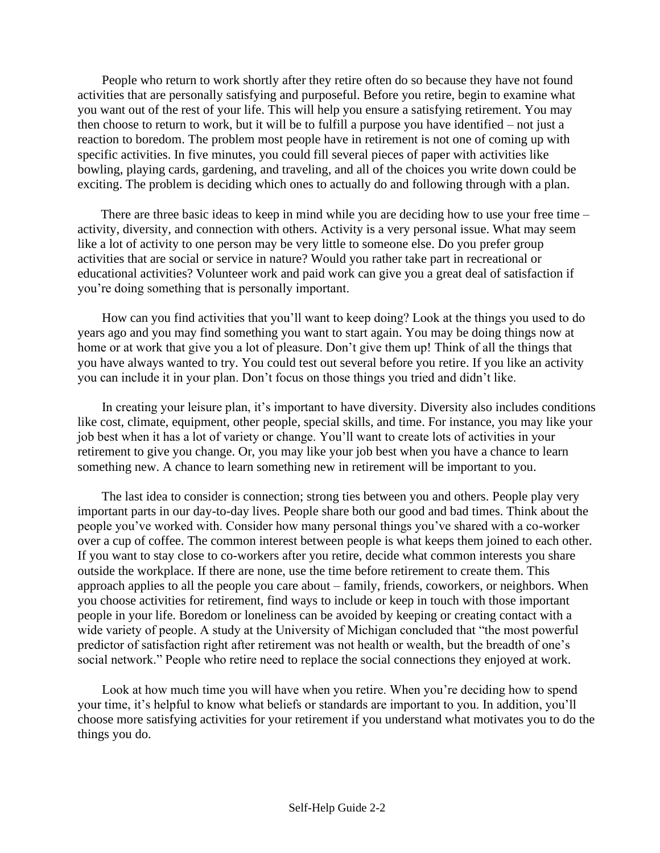People who return to work shortly after they retire often do so because they have not found activities that are personally satisfying and purposeful. Before you retire, begin to examine what you want out of the rest of your life. This will help you ensure a satisfying retirement. You may then choose to return to work, but it will be to fulfill a purpose you have identified – not just a reaction to boredom. The problem most people have in retirement is not one of coming up with specific activities. In five minutes, you could fill several pieces of paper with activities like bowling, playing cards, gardening, and traveling, and all of the choices you write down could be exciting. The problem is deciding which ones to actually do and following through with a plan.

There are three basic ideas to keep in mind while you are deciding how to use your free time – activity, diversity, and connection with others. Activity is a very personal issue. What may seem like a lot of activity to one person may be very little to someone else. Do you prefer group activities that are social or service in nature? Would you rather take part in recreational or educational activities? Volunteer work and paid work can give you a great deal of satisfaction if you're doing something that is personally important.

How can you find activities that you'll want to keep doing? Look at the things you used to do years ago and you may find something you want to start again. You may be doing things now at home or at work that give you a lot of pleasure. Don't give them up! Think of all the things that you have always wanted to try. You could test out several before you retire. If you like an activity you can include it in your plan. Don't focus on those things you tried and didn't like.

In creating your leisure plan, it's important to have diversity. Diversity also includes conditions like cost, climate, equipment, other people, special skills, and time. For instance, you may like your job best when it has a lot of variety or change. You'll want to create lots of activities in your retirement to give you change. Or, you may like your job best when you have a chance to learn something new. A chance to learn something new in retirement will be important to you.

The last idea to consider is connection; strong ties between you and others. People play very important parts in our day-to-day lives. People share both our good and bad times. Think about the people you've worked with. Consider how many personal things you've shared with a co-worker over a cup of coffee. The common interest between people is what keeps them joined to each other. If you want to stay close to co-workers after you retire, decide what common interests you share outside the workplace. If there are none, use the time before retirement to create them. This approach applies to all the people you care about – family, friends, coworkers, or neighbors. When you choose activities for retirement, find ways to include or keep in touch with those important people in your life. Boredom or loneliness can be avoided by keeping or creating contact with a wide variety of people. A study at the University of Michigan concluded that "the most powerful predictor of satisfaction right after retirement was not health or wealth, but the breadth of one's social network." People who retire need to replace the social connections they enjoyed at work.

Look at how much time you will have when you retire. When you're deciding how to spend your time, it's helpful to know what beliefs or standards are important to you. In addition, you'll choose more satisfying activities for your retirement if you understand what motivates you to do the things you do.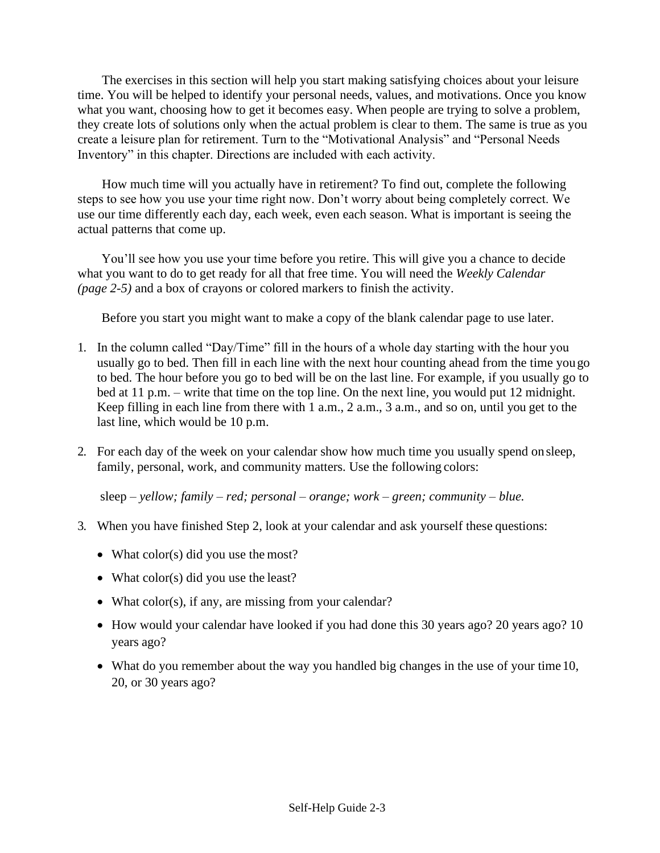The exercises in this section will help you start making satisfying choices about your leisure time. You will be helped to identify your personal needs, values, and motivations. Once you know what you want, choosing how to get it becomes easy. When people are trying to solve a problem, they create lots of solutions only when the actual problem is clear to them. The same is true as you create a leisure plan for retirement. Turn to the "Motivational Analysis" and "Personal Needs Inventory" in this chapter. Directions are included with each activity.

How much time will you actually have in retirement? To find out, complete the following steps to see how you use your time right now. Don't worry about being completely correct. We use our time differently each day, each week, even each season. What is important is seeing the actual patterns that come up.

You'll see how you use your time before you retire. This will give you a chance to decide what you want to do to get ready for all that free time. You will need the *Weekly Calendar (page 2-5)* and a box of crayons or colored markers to finish the activity.

Before you start you might want to make a copy of the blank calendar page to use later.

- 1. In the column called "Day/Time" fill in the hours of a whole day starting with the hour you usually go to bed. Then fill in each line with the next hour counting ahead from the time yougo to bed. The hour before you go to bed will be on the last line. For example, if you usually go to bed at 11 p.m. – write that time on the top line. On the next line, you would put 12 midnight. Keep filling in each line from there with 1 a.m., 2 a.m., 3 a.m., and so on, until you get to the last line, which would be 10 p.m.
- 2. For each day of the week on your calendar show how much time you usually spend onsleep, family, personal, work, and community matters. Use the following colors:

sleep – *yellow; family* – *red; personal* – *orange; work* – *green; community* – *blue.*

- 3. When you have finished Step 2, look at your calendar and ask yourself these questions:
	- What color(s) did you use the most?
	- What color(s) did you use the least?
	- What color(s), if any, are missing from your calendar?
	- How would your calendar have looked if you had done this 30 years ago? 20 years ago? 10 years ago?
	- What do you remember about the way you handled big changes in the use of your time 10, 20, or 30 years ago?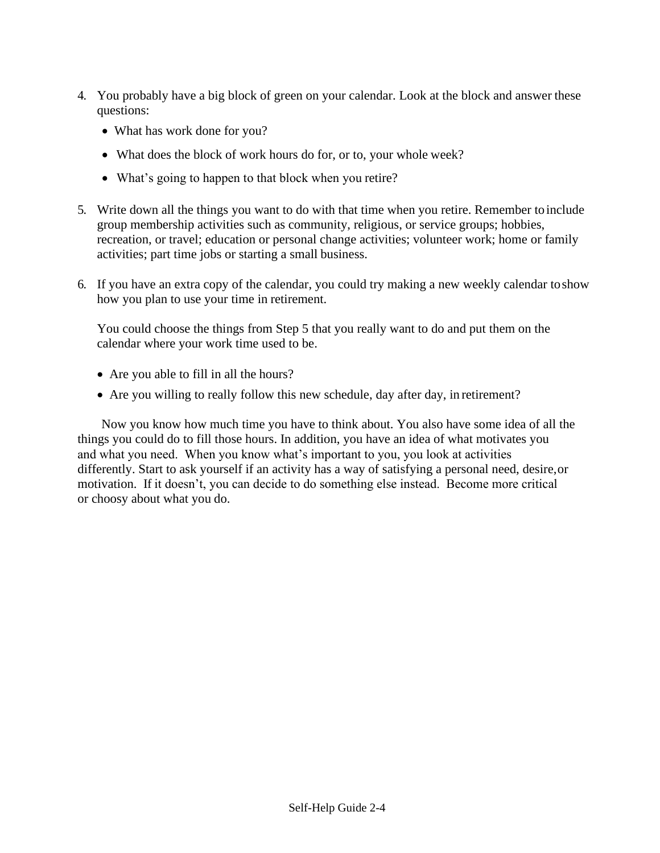- 4. You probably have a big block of green on your calendar. Look at the block and answer these questions:
	- What has work done for you?
	- What does the block of work hours do for, or to, your whole week?
	- What's going to happen to that block when you retire?
- 5. Write down all the things you want to do with that time when you retire. Remember toinclude group membership activities such as community, religious, or service groups; hobbies, recreation, or travel; education or personal change activities; volunteer work; home or family activities; part time jobs or starting a small business.
- 6. If you have an extra copy of the calendar, you could try making a new weekly calendar toshow how you plan to use your time in retirement.

You could choose the things from Step 5 that you really want to do and put them on the calendar where your work time used to be.

- Are you able to fill in all the hours?
- Are you willing to really follow this new schedule, day after day, in retirement?

Now you know how much time you have to think about. You also have some idea of all the things you could do to fill those hours. In addition, you have an idea of what motivates you and what you need. When you know what's important to you, you look at activities differently. Start to ask yourself if an activity has a way of satisfying a personal need, desire,or motivation. If it doesn't, you can decide to do something else instead. Become more critical or choosy about what you do.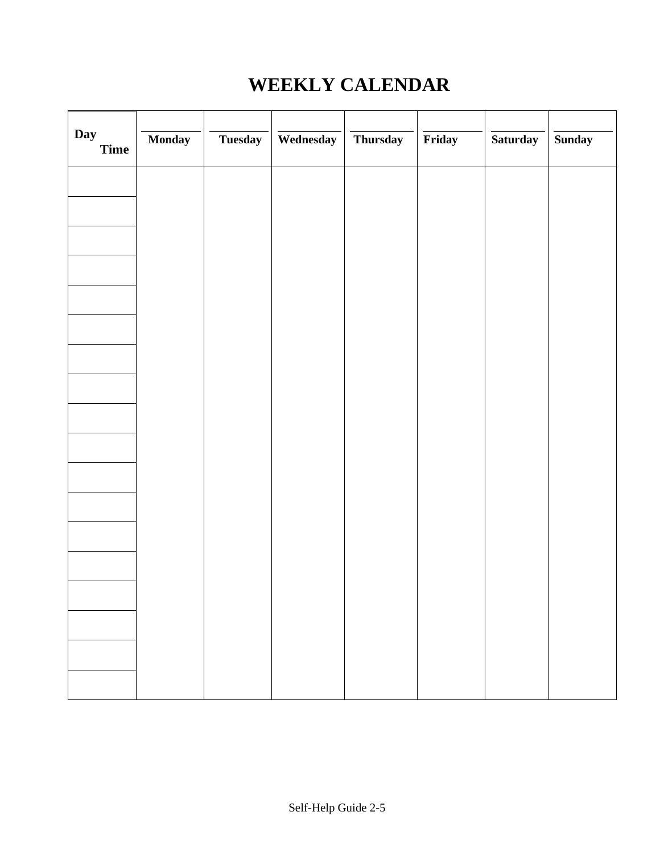## **WEEKLY CALENDAR**

| Day<br>Time | Monday | Tuesday | Wednesday | Thursday | Friday | Saturday | <b>Sunday</b> |
|-------------|--------|---------|-----------|----------|--------|----------|---------------|
|             |        |         |           |          |        |          |               |
|             |        |         |           |          |        |          |               |
|             |        |         |           |          |        |          |               |
|             |        |         |           |          |        |          |               |
|             |        |         |           |          |        |          |               |
|             |        |         |           |          |        |          |               |
|             |        |         |           |          |        |          |               |
|             |        |         |           |          |        |          |               |
|             |        |         |           |          |        |          |               |
|             |        |         |           |          |        |          |               |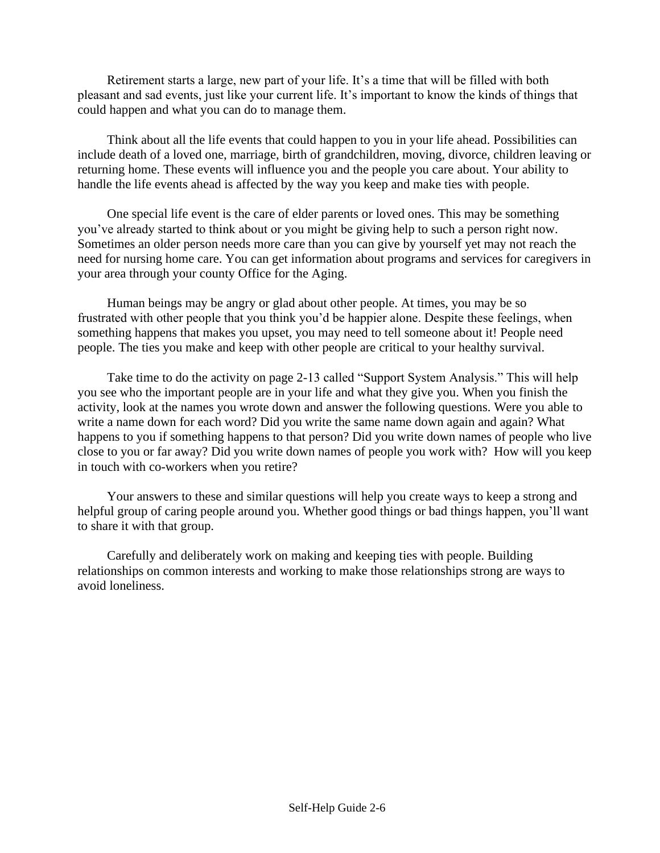Retirement starts a large, new part of your life. It's a time that will be filled with both pleasant and sad events, just like your current life. It's important to know the kinds of things that could happen and what you can do to manage them.

Think about all the life events that could happen to you in your life ahead. Possibilities can include death of a loved one, marriage, birth of grandchildren, moving, divorce, children leaving or returning home. These events will influence you and the people you care about. Your ability to handle the life events ahead is affected by the way you keep and make ties with people.

One special life event is the care of elder parents or loved ones. This may be something you've already started to think about or you might be giving help to such a person right now. Sometimes an older person needs more care than you can give by yourself yet may not reach the need for nursing home care. You can get information about programs and services for caregivers in your area through your county Office for the Aging.

Human beings may be angry or glad about other people. At times, you may be so frustrated with other people that you think you'd be happier alone. Despite these feelings, when something happens that makes you upset, you may need to tell someone about it! People need people. The ties you make and keep with other people are critical to your healthy survival.

Take time to do the activity on page 2-13 called "Support System Analysis." This will help you see who the important people are in your life and what they give you. When you finish the activity, look at the names you wrote down and answer the following questions. Were you able to write a name down for each word? Did you write the same name down again and again? What happens to you if something happens to that person? Did you write down names of people who live close to you or far away? Did you write down names of people you work with? How will you keep in touch with co-workers when you retire?

Your answers to these and similar questions will help you create ways to keep a strong and helpful group of caring people around you. Whether good things or bad things happen, you'll want to share it with that group.

Carefully and deliberately work on making and keeping ties with people. Building relationships on common interests and working to make those relationships strong are ways to avoid loneliness.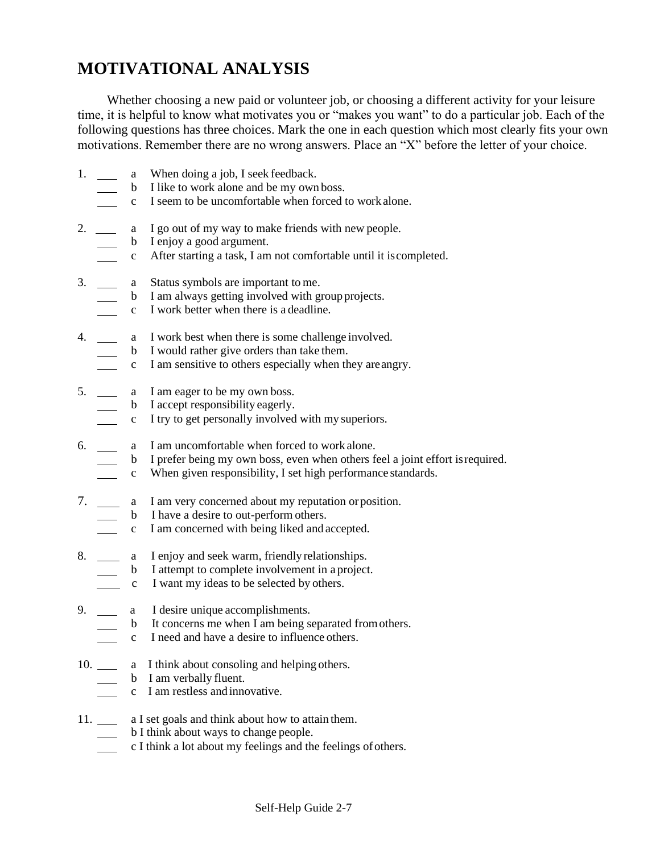## **MOTIVATIONAL ANALYSIS**

Whether choosing a new paid or volunteer job, or choosing a different activity for your leisure time, it is helpful to know what motivates you or "makes you want" to do a particular job. Each of the following questions has three choices. Mark the one in each question which most clearly fits your own motivations. Remember there are no wrong answers. Place an "X" before the letter of your choice.

- 1. a When doing a job, I seek feedback.
	- b I like to work alone and be my own boss.
	- c I seem to be uncomfortable when forced to work alone.
- 2. \_\_\_\_\_ a I go out of my way to make friends with new people.
	- b I enjoy a good argument.
	- c After starting a task, I am not comfortable until it iscompleted.
- 3. \_\_\_\_\_ a Status symbols are important to me.
	- b I am always getting involved with group projects.
		- c I work better when there is a deadline.
- 4. \_\_\_\_\_\_\_ a I work best when there is some challenge involved.
	- b I would rather give orders than take them.
		- c I am sensitive to others especially when they areangry.
- 5. a I am eager to be my own boss.
	- b I accept responsibility eagerly.
	- c I try to get personally involved with my superiors.
- 6. **a** I am uncomfortable when forced to work alone.
	- b I prefer being my own boss, even when others feel a joint effort isrequired.
	- c When given responsibility, I set high performance standards.
- 7. a I am very concerned about my reputation orposition.
	- b I have a desire to out-perform others.
	- c I am concerned with being liked and accepted.
- 8. \_\_\_\_\_ a I enjoy and seek warm, friendly relationships.
	- b I attempt to complete involvement in a project.
	- c I want my ideas to be selected by others.
- 9. **a** I desire unique accomplishments.
	- b It concerns me when  $\hat{I}$  am being separated from others.
	- c I need and have a desire to influence others.
- 10. \_\_\_\_\_ a I think about consoling and helping others.
	- $\frac{1}{\sqrt{1-\frac{1}{\sqrt{1-\frac{1}{\sqrt{1-\frac{1}{\sqrt{1-\frac{1}{\sqrt{1-\frac{1}{\sqrt{1-\frac{1}{\sqrt{1-\frac{1}{\sqrt{1-\frac{1}{\sqrt{1-\frac{1}{\sqrt{1-\frac{1}{\sqrt{1-\frac{1}{\sqrt{1-\frac{1}{\sqrt{1-\frac{1}{\sqrt{1-\frac{1}{\sqrt{1-\frac{1}{\sqrt{1-\frac{1}{\sqrt{1-\frac{1}{\sqrt{1-\frac{1}{\sqrt{1-\frac{1}{\sqrt{1-\frac{1}{\sqrt{1-\frac{1}{\sqrt{1-\frac{1}{\sqrt{1-\frac{1}{\sqrt{1-\frac{1$
	- c I am restless and innovative.
- 11. \_\_\_\_\_ a I set goals and think about how to attain them.
	- b I think about ways to change people.
	- c I think a lot about my feelings and the feelings of others.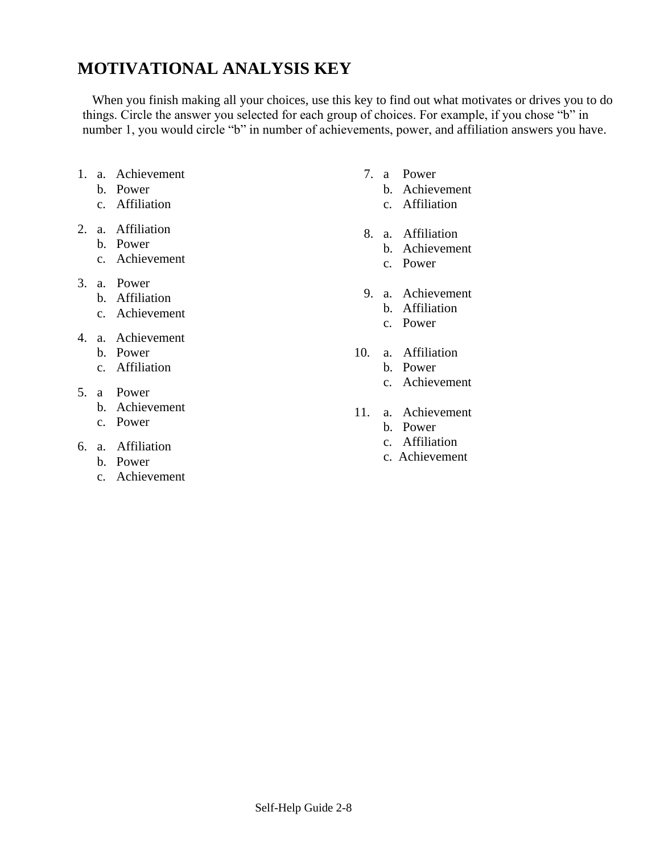## **MOTIVATIONAL ANALYSIS KEY**

When you finish making all your choices, use this key to find out what motivates or drives you to do things. Circle the answer you selected for each group of choices. For example, if you chose "b" in number 1, you would circle "b" in number of achievements, power, and affiliation answers you have.

- 1. a. Achievement
	- b. Power
	- c. Affiliation
- 2. a. Affiliation
	- b. Power
		- c. Achievement
- 3. a. Power
	- b. Affiliation
	- c. Achievement
- 4. a. Achievement
	- b. Power
	- c. Affiliation
- 5. a Power
	- b. Achievement
	- c. Power
- 6. a. Affiliation
	- b. Power
	- c. Achievement
- 7. a Power
	- b. Achievement
	- c. Affiliation
- 8. a. Affiliation
	- b. Achievement
	- c. Power
- 9. a. Achievement
	- b. Affiliation
	- c. Power
- 10. a. Affiliation
	- b. Power
	- c. Achievement
- 11. a. Achievement
	- b. Power
	- c. Affiliation
	- c. Achievement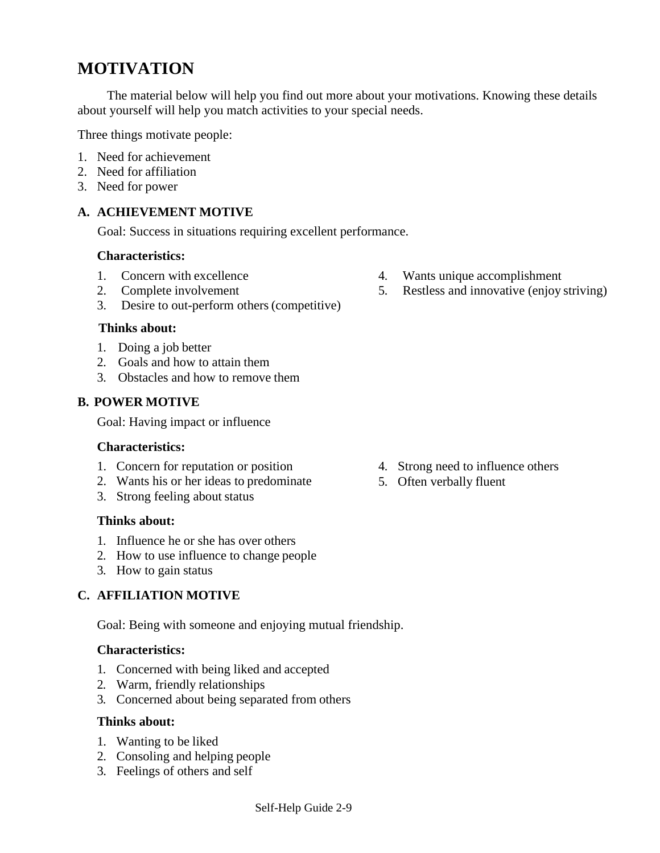## **MOTIVATION**

The material below will help you find out more about your motivations. Knowing these details about yourself will help you match activities to your special needs.

Three things motivate people:

- 1. Need for achievement
- 2. Need for affiliation
- 3. Need for power

#### **A. ACHIEVEMENT MOTIVE**

Goal: Success in situations requiring excellent performance.

#### **Characteristics:**

- 1. Concern with excellence
- 2. Complete involvement
- 3. Desire to out-perform others(competitive)

#### **Thinks about:**

- 1. Doing a job better
- 2. Goals and how to attain them
- 3. Obstacles and how to remove them

#### **B. POWER MOTIVE**

Goal: Having impact or influence

#### **Characteristics:**

- 1. Concern for reputation or position
- 2. Wants his or her ideas to predominate
- 3. Strong feeling about status

#### **Thinks about:**

- 1. Influence he or she has over others
- 2. How to use influence to change people
- 3. How to gain status

#### **C. AFFILIATION MOTIVE**

Goal: Being with someone and enjoying mutual friendship.

#### **Characteristics:**

- 1. Concerned with being liked and accepted
- 2. Warm, friendly relationships
- 3. Concerned about being separated from others

#### **Thinks about:**

- 1. Wanting to be liked
- 2. Consoling and helping people
- 3. Feelings of others and self
- 4. Strong need to influence others
- 5. Often verbally fluent

Self-Help Guide 2-9

- 4. Wants unique accomplishment
- 5. Restless and innovative (enjoy striving)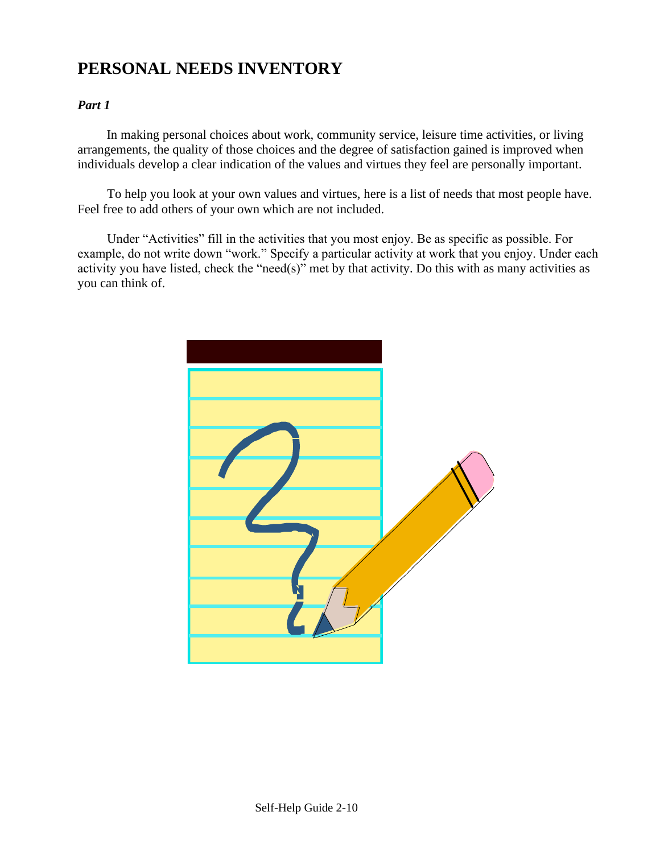## **PERSONAL NEEDS INVENTORY**

#### *Part 1*

In making personal choices about work, community service, leisure time activities, or living arrangements, the quality of those choices and the degree of satisfaction gained is improved when individuals develop a clear indication of the values and virtues they feel are personally important.

To help you look at your own values and virtues, here is a list of needs that most people have. Feel free to add others of your own which are not included.

Under "Activities" fill in the activities that you most enjoy. Be as specific as possible. For example, do not write down "work." Specify a particular activity at work that you enjoy. Under each activity you have listed, check the "need(s)" met by that activity. Do this with as many activities as you can think of.

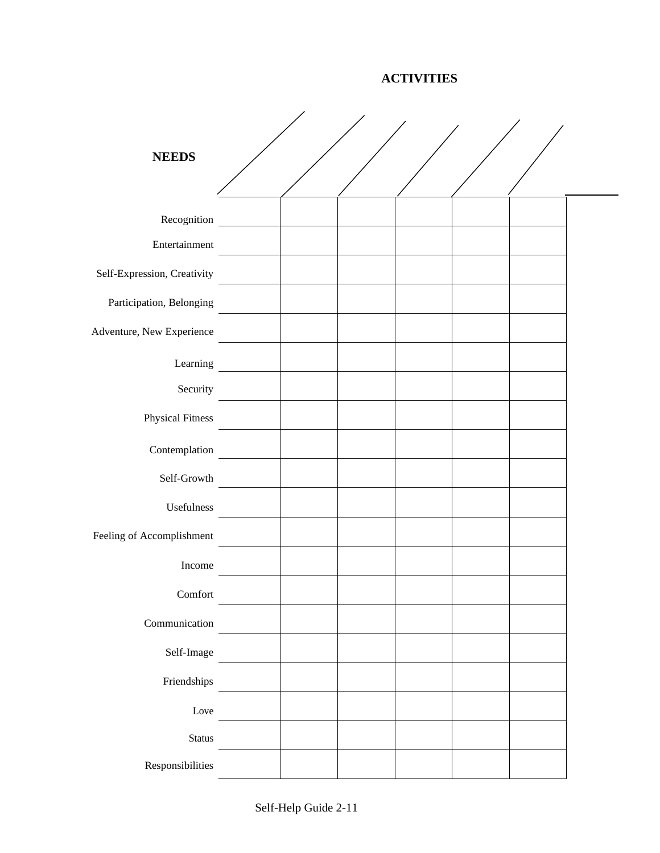**ACTIVITIES**

| <b>NEEDS</b>                                                                                              |  |  |  |  |
|-----------------------------------------------------------------------------------------------------------|--|--|--|--|
| Recognition                                                                                               |  |  |  |  |
| Entertainment                                                                                             |  |  |  |  |
| Self-Expression, Creativity                                                                               |  |  |  |  |
| Participation, Belonging                                                                                  |  |  |  |  |
| Adventure, New Experience                                                                                 |  |  |  |  |
| Learning                                                                                                  |  |  |  |  |
| Security                                                                                                  |  |  |  |  |
| <b>Physical Fitness</b>                                                                                   |  |  |  |  |
| Contemplation                                                                                             |  |  |  |  |
| Self-Growth                                                                                               |  |  |  |  |
| Usefulness                                                                                                |  |  |  |  |
| Feeling of Accomplishment                                                                                 |  |  |  |  |
| Income                                                                                                    |  |  |  |  |
| $Comfort$                                                                                                 |  |  |  |  |
| Communication                                                                                             |  |  |  |  |
| Self-Image                                                                                                |  |  |  |  |
| Friendships                                                                                               |  |  |  |  |
| Love                                                                                                      |  |  |  |  |
| $\operatorname*{Status}% \left( \mathcal{N}\right) \equiv\operatorname*{StartU}\left( \mathcal{N}\right)$ |  |  |  |  |
| Responsibilities                                                                                          |  |  |  |  |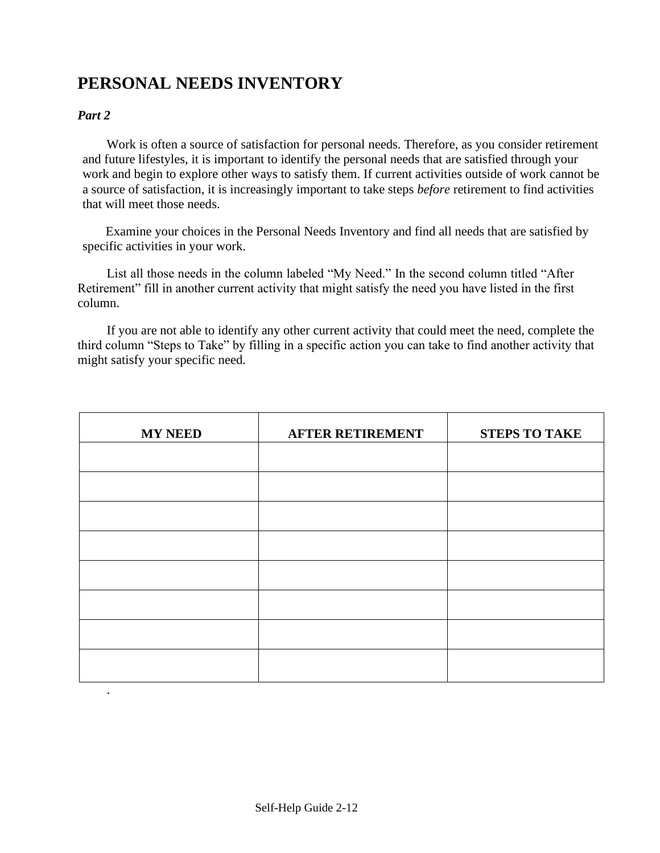## **PERSONAL NEEDS INVENTORY**

#### *Part 2*

Work is often a source of satisfaction for personal needs. Therefore, as you consider retirement and future lifestyles, it is important to identify the personal needs that are satisfied through your work and begin to explore other ways to satisfy them. If current activities outside of work cannot be a source of satisfaction, it is increasingly important to take steps *before* retirement to find activities that will meet those needs.

Examine your choices in the Personal Needs Inventory and find all needs that are satisfied by specific activities in your work.

List all those needs in the column labeled "My Need." In the second column titled "After Retirement" fill in another current activity that might satisfy the need you have listed in the first column.

If you are not able to identify any other current activity that could meet the need, complete the third column "Steps to Take" by filling in a specific action you can take to find another activity that might satisfy your specific need.

| <b>MY NEED</b> | <b>AFTER RETIREMENT</b> | <b>STEPS TO TAKE</b> |
|----------------|-------------------------|----------------------|
|                |                         |                      |
|                |                         |                      |
|                |                         |                      |
|                |                         |                      |
|                |                         |                      |
|                |                         |                      |
|                |                         |                      |
|                |                         |                      |
| $\bullet$      |                         |                      |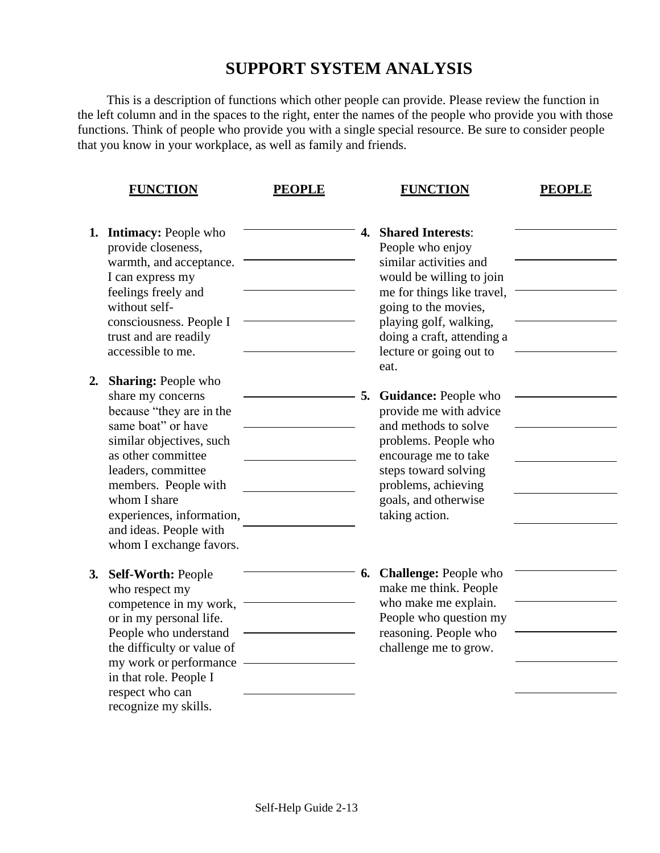### **SUPPORT SYSTEM ANALYSIS**

This is a description of functions which other people can provide. Please review the function in the left column and in the spaces to the right, enter the names of the people who provide you with those functions. Think of people who provide you with a single special resource. Be sure to consider people that you know in your workplace, as well as family and friends.

|    | <b>FUNCTION</b>                                                                                                                                                                                                                                                                                     | <b>PEOPLE</b> |    | <b>FUNCTION</b>                                                                                                                                                                                                                                     | <b>PEOPLE</b> |
|----|-----------------------------------------------------------------------------------------------------------------------------------------------------------------------------------------------------------------------------------------------------------------------------------------------------|---------------|----|-----------------------------------------------------------------------------------------------------------------------------------------------------------------------------------------------------------------------------------------------------|---------------|
|    | <b>1. Intimacy: People who</b><br>provide closeness,<br>warmth, and acceptance.<br>I can express my<br>feelings freely and<br>without self-<br>consciousness. People I<br>trust and are readily<br>accessible to me.                                                                                |               | 4. | <b>Shared Interests:</b><br>People who enjoy<br>similar activities and<br>would be willing to join<br>me for things like travel,<br>going to the movies,<br>playing golf, walking,<br>doing a craft, attending a<br>lecture or going out to<br>eat. |               |
| 2. | <b>Sharing: People who</b><br>share my concerns<br>because "they are in the<br>same boat" or have<br>similar objectives, such<br>as other committee<br>leaders, committee<br>members. People with<br>whom I share<br>experiences, information,<br>and ideas. People with<br>whom I exchange favors. |               |    | <b>5. Guidance: People who</b><br>provide me with advice<br>and methods to solve<br>problems. People who<br>encourage me to take<br>steps toward solving<br>problems, achieving<br>goals, and otherwise<br>taking action.                           |               |
| 3. | <b>Self-Worth: People</b><br>who respect my<br>competence in my work,<br>or in my personal life.<br>People who understand<br>the difficulty or value of<br>my work or performance<br>in that role. People I<br>respect who can<br>recognize my skills.                                              |               |    | <b>6. Challenge: People who</b><br>make me think. People<br>who make me explain.<br>People who question my<br>reasoning. People who<br>challenge me to grow.                                                                                        |               |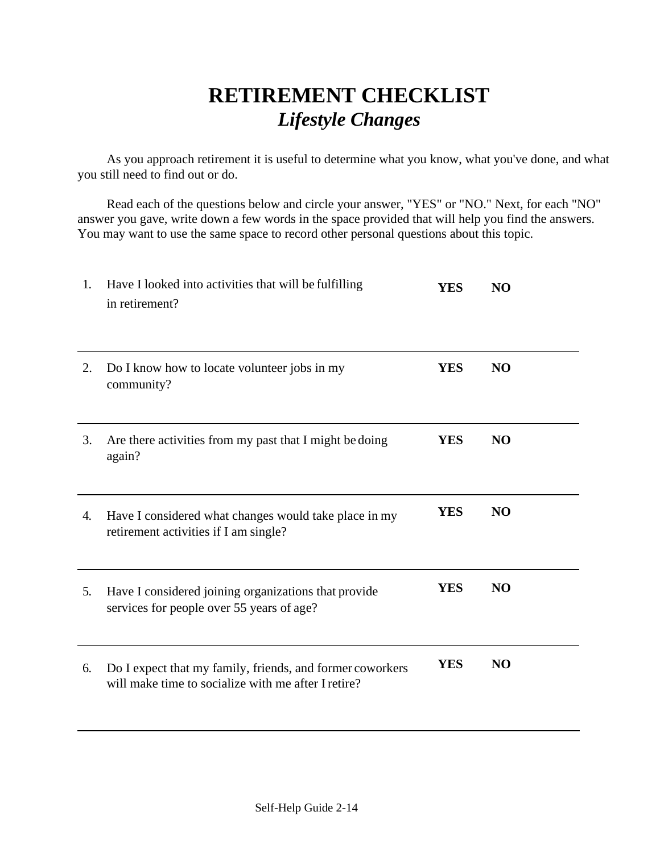## **RETIREMENT CHECKLIST**  *Lifestyle Changes*

As you approach retirement it is useful to determine what you know, what you've done, and what you still need to find out or do.

Read each of the questions below and circle your answer, "YES" or "NO." Next, for each "NO" answer you gave, write down a few words in the space provided that will help you find the answers. You may want to use the same space to record other personal questions about this topic.

| 1. | Have I looked into activities that will be fulfilling<br>in retirement?                                          | <b>YES</b> | N <sub>O</sub> |
|----|------------------------------------------------------------------------------------------------------------------|------------|----------------|
| 2. | Do I know how to locate volunteer jobs in my<br>community?                                                       | <b>YES</b> | N <sub>O</sub> |
| 3. | Are there activities from my past that I might be doing<br>again?                                                | <b>YES</b> | N <sub>O</sub> |
| 4. | Have I considered what changes would take place in my<br>retirement activities if I am single?                   | <b>YES</b> | N <sub>O</sub> |
| 5. | Have I considered joining organizations that provide<br>services for people over 55 years of age?                | <b>YES</b> | N <sub>O</sub> |
| 6. | Do I expect that my family, friends, and former coworkers<br>will make time to socialize with me after I retire? | <b>YES</b> | N <sub>O</sub> |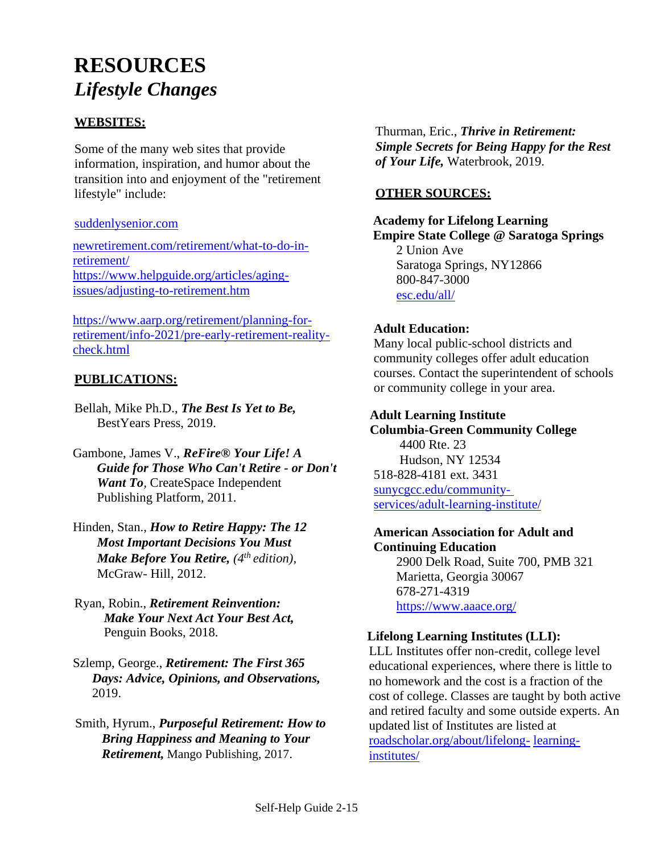## **RESOURCES** *Lifestyle Changes*

#### **WEBSITES:**

Some of the many web sites that provide information, inspiration, and humor about the transition into and enjoyment of the "retirement lifestyle" include:

#### [suddenlysenior.com](http://www.suddenlysenior.com/)

[newretirement.com/retirement/what-to-do-in](https://www.newretirement.com/retirement/what-to-do-in-retirement/)[retirement/](https://www.newretirement.com/retirement/what-to-do-in-retirement/) [https://www.helpguide.org/articles/aging](https://www.helpguide.org/articles/aging-issues/adjusting-to-retirement.htm)[issues/adjusting-to-retirement.htm](https://www.helpguide.org/articles/aging-issues/adjusting-to-retirement.htm)

https://www.aarp.org/retirement/planning-forretirement/info-2021/pre-early-retirement-realitycheck.html

#### **PUBLICATIONS:**

- Bellah, Mike Ph.D., *The Best Is Yet to Be,*  BestYears Press, 2019.
- Gambone, James V., *ReFire® Your Life! A Guide for Those Who Can't Retire - or Don't Want To*, CreateSpace Independent Publishing Platform, 2011.
- Hinden, Stan., *How to Retire Happy: The 12 Most Important Decisions You Must Make Before You Retire, (4th edition),*  McGraw- Hill, 2012.
- Ryan, Robin., *Retirement Reinvention: Make Your Next Act Your Best Act,*  Penguin Books, 2018.
- Szlemp, George., *Retirement: The First 365 Days: Advice, Opinions, and Observations,* 2019.
- Smith, Hyrum., *Purposeful Retirement: How to Bring Happiness and Meaning to Your Retirement,* Mango Publishing, 2017.

Thurman, Eric., *Thrive in Retirement: Simple Secrets for Being Happy for the Rest of Your Life,* Waterbrook, 2019.

#### **OTHER SOURCES:**

#### **Academy for Lifelong Learning Empire State College @ Saratoga Springs** 2 Union Ave Saratoga Springs, NY12866 800-847-3000 [esc.edu/all/](https://www.esc.edu/all/)

#### **Adult Education:**

Many local public-school districts and community colleges offer adult education courses. Contact the superintendent of schools or community college in your area.

#### **Adult Learning Institute**

 **Columbia-Green Community College** 4400 Rte. 23 Hudson, NY 12534 518-828-4181 ext. 3431 [sunycgcc.edu/community](https://www.sunycgcc.edu/community-)[services/adult-learning-institute/](https://www.sunycgcc.edu/community-services/adult-learning-institute/)

#### **American Association for Adult and Continuing Education**

 2900 Delk Road, Suite 700, PMB 321 Marietta, Georgia 30067 678-271-4319 <https://www.aaace.org/>

#### **Lifelong Learning Institutes (LLI):**

LLL Institutes offer non-credit, college level educational experiences, where there is little to no homework and the cost is a fraction of the cost of college. Classes are taught by both active and retired faculty and some outside experts. An updated list of Institutes are listed at [roadscholar.org/about/lifelong-](https://www.roadscholar.org/about/lifelong-learning-institutes/) [learning](https://www.roadscholar.org/about/lifelong-learning-institutes/)[institutes/](https://www.roadscholar.org/about/lifelong-learning-institutes/)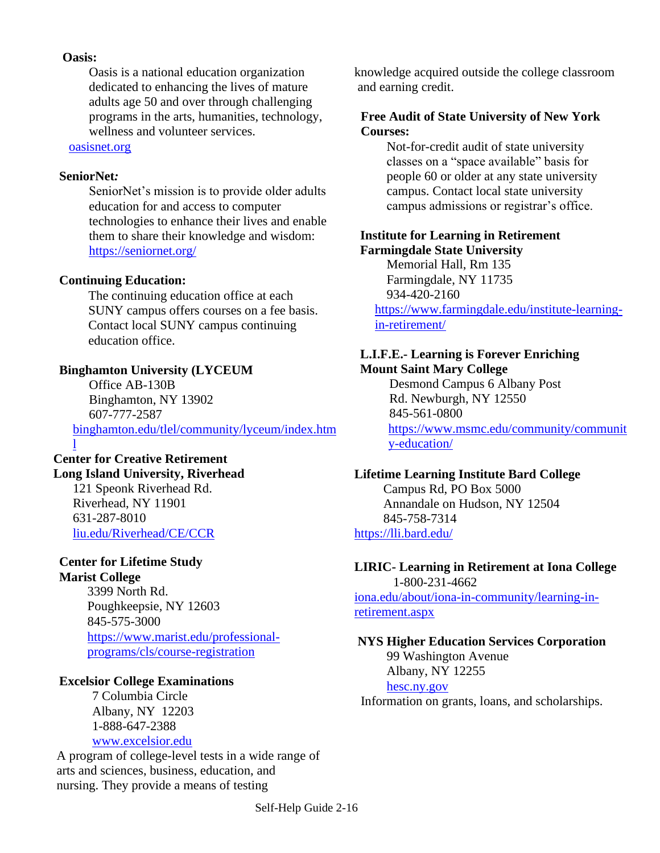#### **Oasis:**

 Oasis is a national education organization dedicated to enhancing the lives of mature adults age 50 and over through challenging programs in the arts, humanities, technology, wellness and volunteer services.

[oasisnet.org](http://www.oasisnet.org/)

#### **SeniorNet***:*

 SeniorNet's mission is to provide older adults education for and access to computer technologies to enhance their lives and enable them to share their knowledge and wisdom: <https://seniornet.org/>

#### **Continuing Education:**

 The continuing education office at each SUNY campus offers courses on a fee basis. Contact local SUNY campus continuing education office.

#### **Binghamton University (LYCEUM**

 Office AB-130B Binghamton, NY 13902 607-777-2587 [binghamton.edu/tlel/community/lyceum/index.htm](https://www.binghamton.edu/tlel/community/lyceum/index.html)

#### [l](https://www.binghamton.edu/tlel/community/lyceum/index.html) **Center for Creative Retirement Long Island University, Riverhead**

121 Speonk Riverhead Rd. Riverhead, NY 11901 631-287-8010 [liu.edu/Riverhead/CE/CCR](http://www.liu.edu/Riverhead/CE/CCR)

#### **Center for Lifetime Study Marist College**

3399 North Rd. Poughkeepsie, NY 12603 845-575-3000 [https://www.marist.edu/professional](https://www.marist.edu/professional-programs/cls/course-registration)[programs/cls/course-registration](https://www.marist.edu/professional-programs/cls/course-registration)

#### **Excelsior College Examinations**

7 Columbia Circle Albany, NY 12203 1-888-647-2388 [www.excelsior.edu](http://www.excelsior.edu/)

A program of college-level tests in a wide range of arts and sciences, business, education, and nursing. They provide a means of testing

knowledge acquired outside the college classroom and earning credit.

#### **Free Audit of State University of New York Courses:**

 Not-for-credit audit of state university classes on a "space available" basis for people 60 or older at any state university campus. Contact local state university campus admissions or registrar's office.

#### **Institute for Learning in Retirement Farmingdale State University**

 Memorial Hall, Rm 135 Farmingdale, NY 11735 934-420-2160

[https://www.farmingdale.edu/institute-learning](https://www.farmingdale.edu/institute-learning-in-retirement/)[in-retirement/](https://www.farmingdale.edu/institute-learning-in-retirement/)

#### **L.I.F.E.- Learning is Forever Enriching Mount Saint Mary College**

Desmond Campus 6 Albany Post Rd. Newburgh, NY 12550 845-561-0800 [https://www.msmc.edu/community/communit](https://www.msmc.edu/community/community-education/) [y-education/](https://www.msmc.edu/community/community-education/)

#### **Lifetime Learning Institute Bard College**

 Campus Rd, PO Box 5000 Annandale on Hudson, NY 12504 845-758-7314 <https://lli.bard.edu/>

#### **LIRIC- Learning in Retirement at Iona College**

1-800-231-4662 [iona.edu/about/iona-in-community/learning-in](https://www.iona.edu/about/iona-in-community/learning-in-retirement.aspx)[retirement.aspx](https://www.iona.edu/about/iona-in-community/learning-in-retirement.aspx)

#### **NYS Higher Education Services Corporation**

 99 Washington Avenue Albany, NY 12255 [hesc.ny.gov](http://www.hesc.ny.gov/) Information on grants, loans, and scholarships.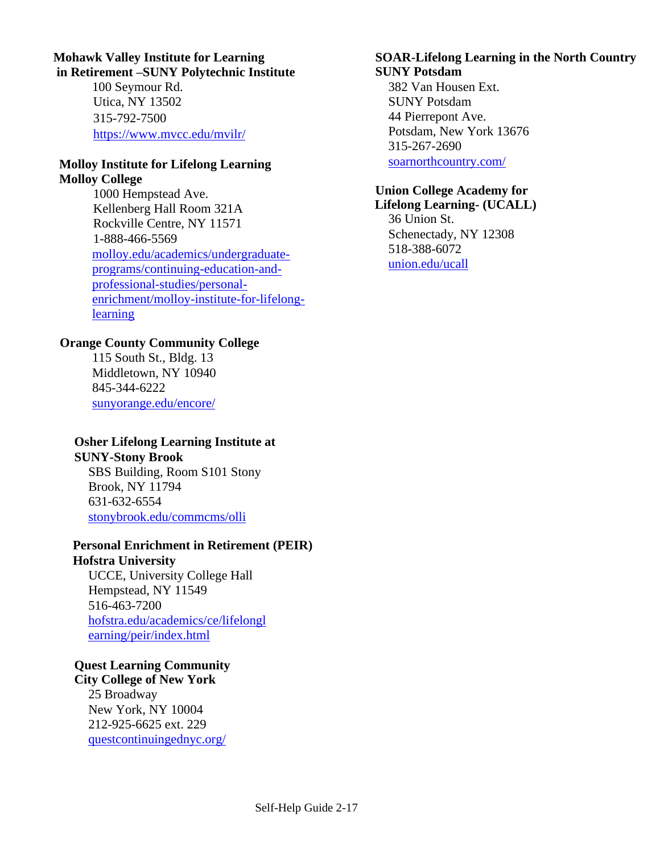#### **Mohawk Valley Institute for Learning in Retirement –SUNY Polytechnic Institute**

100 Seymour Rd. Utica, NY 13502 315-792-7500 <https://www.mvcc.edu/mvilr/>

#### **Molloy Institute for Lifelong Learning Molloy College**

1000 Hempstead Ave. Kellenberg Hall Room 321A Rockville Centre, NY 11571 1-888-466-5569 [molloy.edu/academics/undergraduate](https://www.molloy.edu/academics/undergraduate-programs/continuing-education-and-professional-studies/personal-enrichment/molloy-institute-for-lifelong-learning)[programs/continuing-education-and](https://www.molloy.edu/academics/undergraduate-programs/continuing-education-and-professional-studies/personal-enrichment/molloy-institute-for-lifelong-learning)[professional-studies/personal](https://www.molloy.edu/academics/undergraduate-programs/continuing-education-and-professional-studies/personal-enrichment/molloy-institute-for-lifelong-learning)[enrichment/molloy-institute-for-lifelong](https://www.molloy.edu/academics/undergraduate-programs/continuing-education-and-professional-studies/personal-enrichment/molloy-institute-for-lifelong-learning)**[learning](https://www.molloy.edu/academics/undergraduate-programs/continuing-education-and-professional-studies/personal-enrichment/molloy-institute-for-lifelong-learning)** 

#### **Orange County Community College**

115 South St., Bldg. 13 Middletown, NY 10940 845-344-6222 [sunyorange.edu/encore/](http://www.sunyorange.edu/encore/)

#### **Osher Lifelong Learning Institute at**

**SUNY-Stony Brook** SBS Building, Room S101 Stony Brook, NY 11794

631-632-6554 [stonybrook.edu/commcms/olli](https://www.stonybrook.edu/commcms/olli)

#### **Personal Enrichment in Retirement (PEIR) Hofstra University**

UCCE, University College Hall Hempstead, NY 11549 516-463-7200 [hofstra.edu/academics/ce/lifelongl](https://www.hofstra.edu/academics/ce/lifelonglearning/peir/index.html) [earning/peir/index.html](https://www.hofstra.edu/academics/ce/lifelonglearning/peir/index.html)

#### **Quest Learning Community City College of New York**

25 Broadway New York, NY 10004 212-925-6625 ext. 229 [questcontinuingednyc.org/](http://questcontinuingednyc.org/)

#### **SOAR-Lifelong Learning in the North Country SUNY Potsdam**

382 Van Housen Ext. SUNY Potsdam 44 Pierrepont Ave. Potsdam, New York 13676 315-267-2690 [soarnorthcountry.com/](http://www.soarnorthcountry.com/)

## **Union College Academy for**

**Lifelong Learning- (UCALL)** 36 Union St. Schenectady, NY 12308 518-388-6072 [union.edu/ucall](https://www.union.edu/ucall)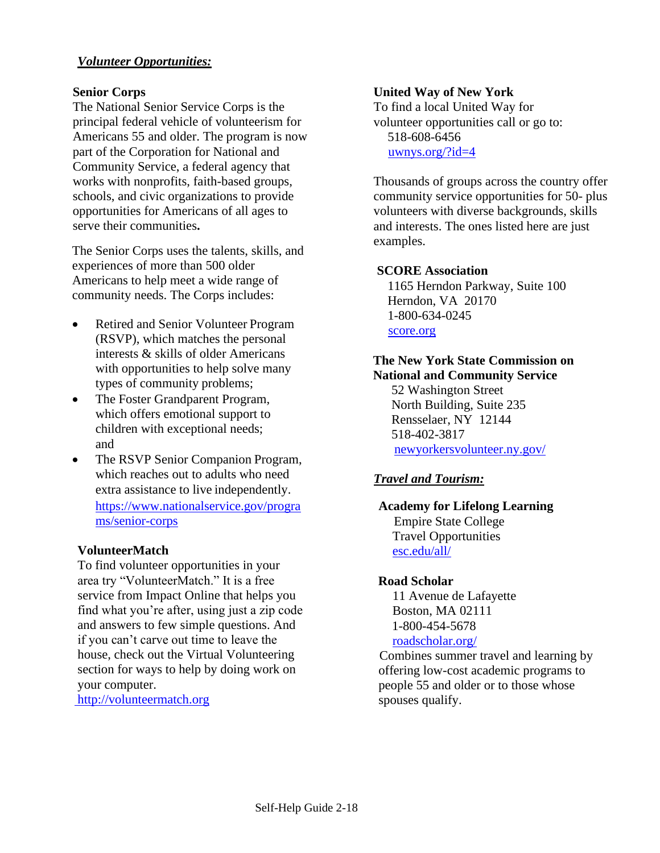#### *Volunteer Opportunities:*

#### **Senior Corps**

The National Senior Service Corps is the principal federal vehicle of volunteerism for Americans 55 and older. The program is now part of the Corporation for National and Community Service, a federal agency that works with nonprofits, faith-based groups, schools, and civic organizations to provide opportunities for Americans of all ages to serve their communities**.**

The Senior Corps uses the talents, skills, and experiences of more than 500 older Americans to help meet a wide range of community needs. The Corps includes:

- Retired and Senior Volunteer Program (RSVP), which matches the personal interests & skills of older Americans with opportunities to help solve many types of community problems;
- The Foster Grandparent Program, which offers emotional support to children with exceptional needs; and
- The RSVP Senior Companion Program, which reaches out to adults who need extra assistance to live independently. [https://www.nationalservice.gov/progra](https://www.nationalservice.gov/programs/senior-corps) [ms/senior-corps](https://www.nationalservice.gov/programs/senior-corps)

#### **VolunteerMatch**

To find volunteer opportunities in your area try "VolunteerMatch." It is a free service from Impact Online that helps you find what you're after, using just a zip code and answers to few simple questions. And if you can't carve out time to leave the house, check out the Virtual Volunteering section for ways to help by doing work on your computer.

[http://volunteermatch.org](http://volunteermatch.org/)

#### **United Way of New York**

To find a local United Way for volunteer opportunities call or go to: 518-608-6456 [uwnys.org/?id=4](https://uwnys.org/?id=4)

Thousands of groups across the country offer community service opportunities for 50- plus volunteers with diverse backgrounds, skills and interests. The ones listed here are just examples.

#### **SCORE Association**

1165 Herndon Parkway, Suite 100 Herndon, VA 20170 1-800-634-0245 [score.org](http://www.score.org/)

#### **The New York State Commission on National and Community Service**

52 Washington Street North Building, Suite 235 Rensselaer, NY 12144 518-402-3817 [newyorkersvolunteer.ny.gov/](https://newyorkersvolunteer.ny.gov/)

#### *Travel and Tourism:*

#### **Academy for Lifelong Learning** Empire State College Travel Opportunities [esc.edu/all/](https://www.esc.edu/all/)

#### **Road Scholar**

11 Avenue de Lafayette Boston, MA 02111 1-800-454-5678 [roadscholar.org/](https://www.roadscholar.org/)

 Combines summer travel and learning by offering low-cost academic programs to people 55 and older or to those whose spouses qualify.